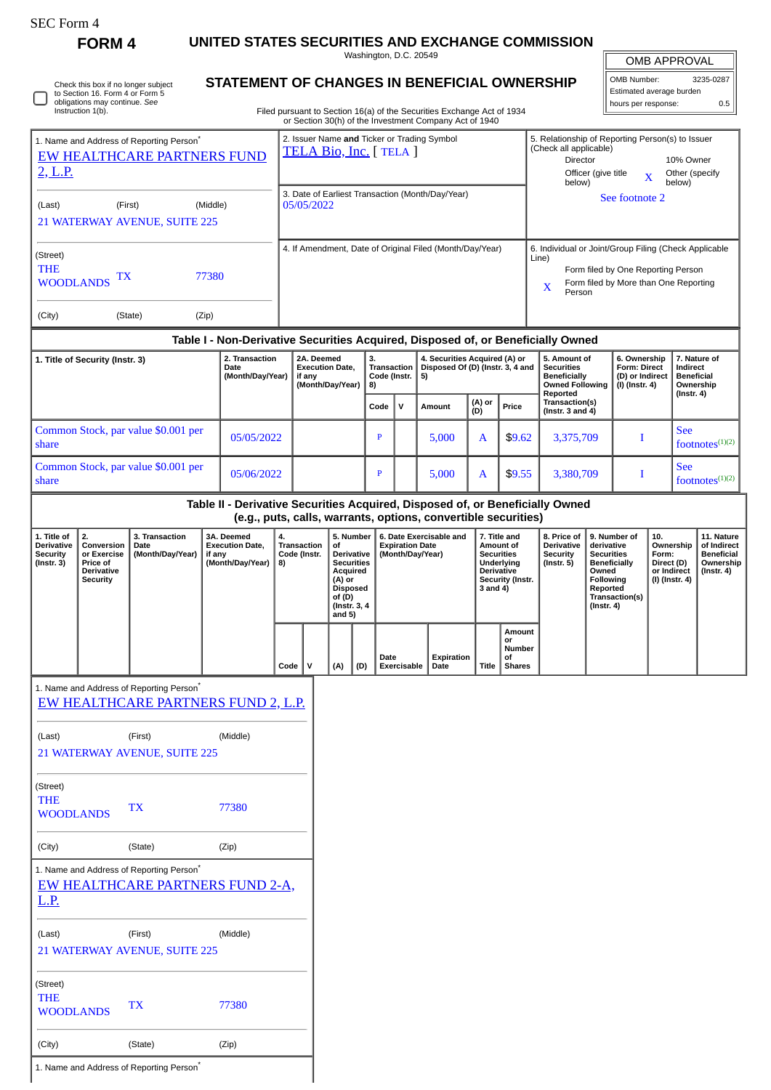| SEC Form 4 |  |
|------------|--|
|------------|--|

(City) (State) (Zip)

1. Name and Address of Reporting Person<sup>\*</sup>

**FORM 4 UNITED STATES SECURITIES AND EXCHANGE COMMISSION**

Washington, D.C. 20549 **STATEMENT OF CHANGES IN BENEFICIAL OWNERSHIP**

| <b>OMB APPROVAL</b> |           |  |  |  |  |  |
|---------------------|-----------|--|--|--|--|--|
| OMB Number:         | 3235-0287 |  |  |  |  |  |

|                                                                                                                                                                                                                                                                       | Check this box if no longer subject<br>to Section 16. Form 4 or Form 5<br>obligations may continue. See<br>Instruction 1(b). |                                                                                             |                                                                       | STATEMENT OF CHANGES IN BENEFICIAL OWNERSHIP                                     |                                                                        |                                                                                                                                    |                                                |              |                                                                         |             | Filed pursuant to Section 16(a) of the Securities Exchange Act of 1934<br>or Section 30(h) of the Investment Company Act of 1940                                      |                                                                         |                                                                                                |                                                                                                                                                |                                                                   |                                                                          | Estimated average burden<br>hours per response:                |                                                                           |                                  | 0.5 |
|-----------------------------------------------------------------------------------------------------------------------------------------------------------------------------------------------------------------------------------------------------------------------|------------------------------------------------------------------------------------------------------------------------------|---------------------------------------------------------------------------------------------|-----------------------------------------------------------------------|----------------------------------------------------------------------------------|------------------------------------------------------------------------|------------------------------------------------------------------------------------------------------------------------------------|------------------------------------------------|--------------|-------------------------------------------------------------------------|-------------|-----------------------------------------------------------------------------------------------------------------------------------------------------------------------|-------------------------------------------------------------------------|------------------------------------------------------------------------------------------------|------------------------------------------------------------------------------------------------------------------------------------------------|-------------------------------------------------------------------|--------------------------------------------------------------------------|----------------------------------------------------------------|---------------------------------------------------------------------------|----------------------------------|-----|
| 1. Name and Address of Reporting Person*<br>EW HEALTHCARE PARTNERS FUND<br>2, L.P.                                                                                                                                                                                    |                                                                                                                              |                                                                                             | 2. Issuer Name and Ticker or Trading Symbol<br>TELA Bio, Inc. [TELA ] |                                                                                  |                                                                        |                                                                                                                                    |                                                |              |                                                                         |             | 5. Relationship of Reporting Person(s) to Issuer<br>(Check all applicable)<br>Director<br>10% Owner<br>Officer (give title<br>Other (specify<br>X<br>below)<br>below) |                                                                         |                                                                                                |                                                                                                                                                |                                                                   |                                                                          |                                                                |                                                                           |                                  |     |
| (First)<br>(Middle)<br>(Last)                                                                                                                                                                                                                                         |                                                                                                                              |                                                                                             |                                                                       |                                                                                  |                                                                        | 3. Date of Earliest Transaction (Month/Day/Year)<br>05/05/2022                                                                     |                                                |              |                                                                         |             |                                                                                                                                                                       |                                                                         |                                                                                                |                                                                                                                                                |                                                                   |                                                                          | See footnote 2                                                 |                                                                           |                                  |     |
|                                                                                                                                                                                                                                                                       |                                                                                                                              | 21 WATERWAY AVENUE, SUITE 225                                                               |                                                                       |                                                                                  |                                                                        |                                                                                                                                    |                                                |              |                                                                         |             |                                                                                                                                                                       |                                                                         |                                                                                                |                                                                                                                                                |                                                                   |                                                                          |                                                                |                                                                           |                                  |     |
| (Street)<br><b>THE</b><br>77380<br>TХ<br><b>WOODLANDS</b>                                                                                                                                                                                                             |                                                                                                                              |                                                                                             |                                                                       |                                                                                  | 4. If Amendment, Date of Original Filed (Month/Day/Year)<br>Line)<br>X |                                                                                                                                    |                                                |              |                                                                         |             |                                                                                                                                                                       |                                                                         |                                                                                                | 6. Individual or Joint/Group Filing (Check Applicable<br>Form filed by One Reporting Person<br>Form filed by More than One Reporting<br>Person |                                                                   |                                                                          |                                                                |                                                                           |                                  |     |
| (City)                                                                                                                                                                                                                                                                |                                                                                                                              | (State)                                                                                     | (Zip)                                                                 |                                                                                  |                                                                        |                                                                                                                                    |                                                |              |                                                                         |             |                                                                                                                                                                       |                                                                         |                                                                                                |                                                                                                                                                |                                                                   |                                                                          |                                                                |                                                                           |                                  |     |
|                                                                                                                                                                                                                                                                       |                                                                                                                              |                                                                                             |                                                                       | Table I - Non-Derivative Securities Acquired, Disposed of, or Beneficially Owned |                                                                        |                                                                                                                                    |                                                |              |                                                                         |             |                                                                                                                                                                       |                                                                         |                                                                                                |                                                                                                                                                |                                                                   |                                                                          |                                                                |                                                                           |                                  |     |
| 1. Title of Security (Instr. 3)<br>Date                                                                                                                                                                                                                               |                                                                                                                              |                                                                                             | 2. Transaction<br>(Month/Day/Year)                                    |                                                                                  | 2A. Deemed<br><b>Execution Date,</b><br>if any<br>(Month/Day/Year)     |                                                                                                                                    | 3.<br><b>Transaction</b><br>Code (Instr.<br>8) |              | 4. Securities Acquired (A) or<br>Disposed Of (D) (Instr. 3, 4 and<br>5) |             |                                                                                                                                                                       |                                                                         | 5. Amount of<br><b>Securities</b><br><b>Beneficially</b><br><b>Owned Following</b><br>Reported |                                                                                                                                                | 6. Ownership<br>Form: Direct<br>(D) or Indirect<br>(I) (Instr. 4) |                                                                          | Indirect<br><b>Beneficial</b><br>Ownership<br>$($ Instr. 4 $)$ | 7. Nature of                                                              |                                  |     |
|                                                                                                                                                                                                                                                                       |                                                                                                                              |                                                                                             |                                                                       |                                                                                  |                                                                        |                                                                                                                                    |                                                |              | Code                                                                    | v           | Amount                                                                                                                                                                | (A) or<br>(D)                                                           | Price                                                                                          |                                                                                                                                                | Transaction(s)<br>(Instr. 3 and $4$ )                             |                                                                          |                                                                |                                                                           |                                  |     |
| share                                                                                                                                                                                                                                                                 |                                                                                                                              | Common Stock, par value \$0.001 per                                                         |                                                                       | 05/05/2022                                                                       |                                                                        |                                                                                                                                    |                                                |              | $\mathbf{P}$                                                            |             | 5,000                                                                                                                                                                 | A                                                                       | \$9.62                                                                                         | 3,375,709<br>T                                                                                                                                 |                                                                   |                                                                          |                                                                |                                                                           | <b>See</b><br>footnotes $(1)(2)$ |     |
| share                                                                                                                                                                                                                                                                 |                                                                                                                              | Common Stock, par value \$0.001 per                                                         |                                                                       | 05/06/2022                                                                       |                                                                        |                                                                                                                                    |                                                |              | P                                                                       |             | 5,000                                                                                                                                                                 | A                                                                       | \$9.55                                                                                         |                                                                                                                                                | 3,380,709                                                         |                                                                          | I                                                              |                                                                           | <b>See</b><br>footnotes $(1)(2)$ |     |
|                                                                                                                                                                                                                                                                       |                                                                                                                              |                                                                                             |                                                                       | Table II - Derivative Securities Acquired, Disposed of, or Beneficially Owned    |                                                                        |                                                                                                                                    |                                                |              |                                                                         |             | (e.g., puts, calls, warrants, options, convertible securities)                                                                                                        |                                                                         |                                                                                                |                                                                                                                                                |                                                                   |                                                                          |                                                                |                                                                           |                                  |     |
| 1. Title of<br>2.<br>3. Transaction<br>3A. Deemed<br><b>Derivative</b><br>Conversion<br><b>Execution Date,</b><br>Date<br><b>Security</b><br>(Month/Day/Year)<br>or Exercise<br>if any<br>(Month/Day/Year)<br>(Instr. 3)<br>Price of<br>Derivative<br><b>Security</b> |                                                                                                                              |                                                                                             | 4.<br>8)                                                              | <b>Transaction</b><br>Code (Instr.                                               |                                                                        | 5. Number<br>of<br>Derivative<br><b>Securities</b><br>Acquired<br>(A) or<br><b>Disposed</b><br>of (D)<br>(Instr. 3, 4)<br>and $5)$ | <b>Expiration Date</b><br>(Month/Day/Year)     |              | 6. Date Exercisable and                                                 |             | 7. Title and<br>Amount of<br><b>Securities</b><br>Underlying<br><b>Derivative</b><br>Security (Instr.<br>3 and 4)                                                     | 8. Price of<br><b>Derivative</b><br><b>Security</b><br>$($ Instr. 5 $)$ |                                                                                                | 9. Number of<br>derivative<br><b>Securities</b><br><b>Beneficially</b><br>Owned<br>Following<br>Reported<br>Transaction(s)<br>$($ Instr. 4 $)$ |                                                                   | 10.<br>Ownership<br>Form:<br>Direct (D)<br>or Indirect<br>(I) (Instr. 4) |                                                                | 11. Nature<br>of Indirect<br><b>Beneficial</b><br>Ownership<br>(Instr. 4) |                                  |     |
|                                                                                                                                                                                                                                                                       |                                                                                                                              |                                                                                             |                                                                       |                                                                                  | $Code 1$ V                                                             |                                                                                                                                    |                                                | (A)<br>  (D) | Date                                                                    | Exercisable | Expiration<br>Date                                                                                                                                                    |                                                                         | <b>Amount</b><br>or<br><b>Number</b><br>οf<br>Title   Shares                                   |                                                                                                                                                |                                                                   |                                                                          |                                                                |                                                                           |                                  |     |
|                                                                                                                                                                                                                                                                       |                                                                                                                              | 1. Name and Address of Reporting Person <sup>®</sup><br>EW HEALTHCARE PARTNERS FUND 2, L.P. |                                                                       |                                                                                  |                                                                        |                                                                                                                                    |                                                |              |                                                                         |             |                                                                                                                                                                       |                                                                         |                                                                                                |                                                                                                                                                |                                                                   |                                                                          |                                                                |                                                                           |                                  |     |
| (Last)                                                                                                                                                                                                                                                                |                                                                                                                              | (First)<br>21 WATERWAY AVENUE, SUITE 225                                                    |                                                                       | (Middle)                                                                         |                                                                        |                                                                                                                                    |                                                |              |                                                                         |             |                                                                                                                                                                       |                                                                         |                                                                                                |                                                                                                                                                |                                                                   |                                                                          |                                                                |                                                                           |                                  |     |
| (Street)<br><b>THE</b><br><b>WOODLANDS</b>                                                                                                                                                                                                                            |                                                                                                                              | <b>TX</b>                                                                                   |                                                                       | 77380                                                                            |                                                                        |                                                                                                                                    |                                                |              |                                                                         |             |                                                                                                                                                                       |                                                                         |                                                                                                |                                                                                                                                                |                                                                   |                                                                          |                                                                |                                                                           |                                  |     |
| (City)                                                                                                                                                                                                                                                                |                                                                                                                              | (State)                                                                                     |                                                                       | (Zip)                                                                            |                                                                        |                                                                                                                                    |                                                |              |                                                                         |             |                                                                                                                                                                       |                                                                         |                                                                                                |                                                                                                                                                |                                                                   |                                                                          |                                                                |                                                                           |                                  |     |
| <b>L.P.</b>                                                                                                                                                                                                                                                           |                                                                                                                              | 1. Name and Address of Reporting Person <sup>*</sup><br>EW HEALTHCARE PARTNERS FUND 2-A,    |                                                                       |                                                                                  |                                                                        |                                                                                                                                    |                                                |              |                                                                         |             |                                                                                                                                                                       |                                                                         |                                                                                                |                                                                                                                                                |                                                                   |                                                                          |                                                                |                                                                           |                                  |     |
| (Last)                                                                                                                                                                                                                                                                |                                                                                                                              | (First)<br>21 WATERWAY AVENUE, SUITE 225                                                    |                                                                       | (Middle)                                                                         |                                                                        |                                                                                                                                    |                                                |              |                                                                         |             |                                                                                                                                                                       |                                                                         |                                                                                                |                                                                                                                                                |                                                                   |                                                                          |                                                                |                                                                           |                                  |     |
| (Street)<br><b>THE</b><br><b>WOODLANDS</b>                                                                                                                                                                                                                            |                                                                                                                              | <b>TX</b>                                                                                   |                                                                       | 77380                                                                            |                                                                        |                                                                                                                                    |                                                |              |                                                                         |             |                                                                                                                                                                       |                                                                         |                                                                                                |                                                                                                                                                |                                                                   |                                                                          |                                                                |                                                                           |                                  |     |